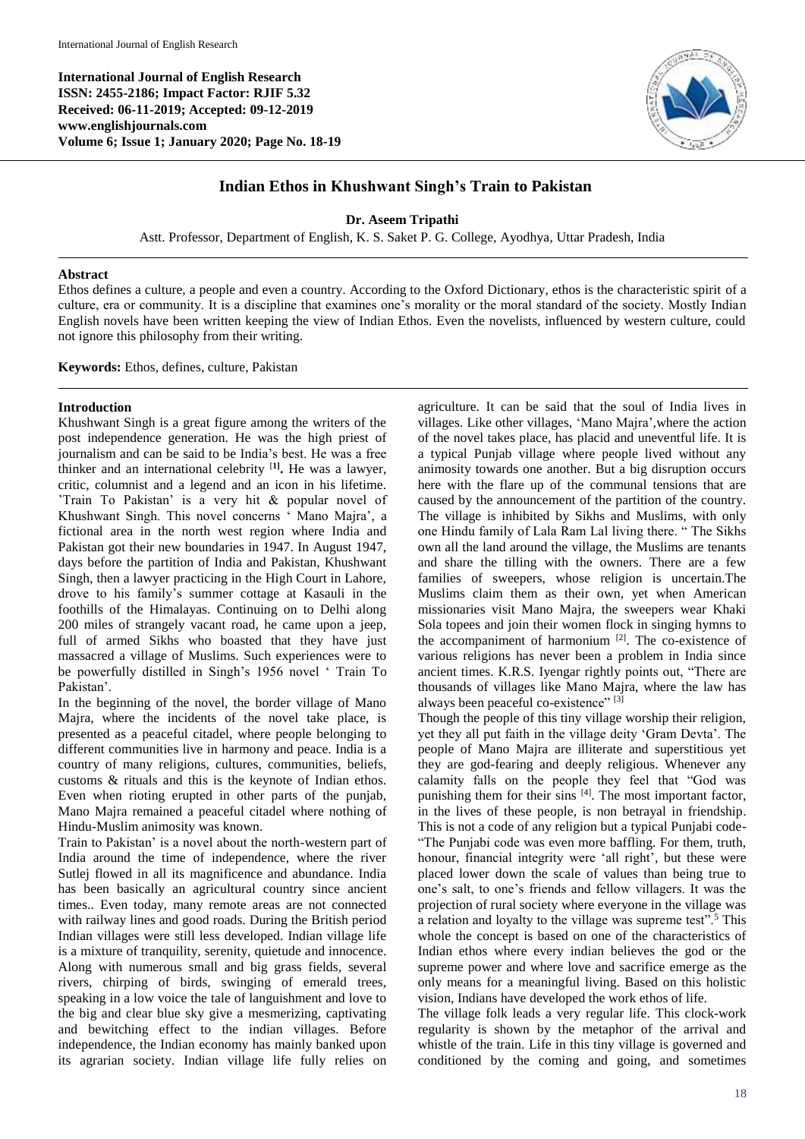**International Journal of English Research ISSN: 2455-2186; Impact Factor: RJIF 5.32 Received: 06-11-2019; Accepted: 09-12-2019 www.englishjournals.com Volume 6; Issue 1; January 2020; Page No. 18-19**



## **Indian Ethos in Khushwant Singh's Train to Pakistan**

**Dr. Aseem Tripathi**

Astt. Professor, Department of English, K. S. Saket P. G. College, Ayodhya, Uttar Pradesh, India

## **Abstract**

Ethos defines a culture, a people and even a country. According to the Oxford Dictionary, ethos is the characteristic spirit of a culture, era or community. It is a discipline that examines one's morality or the moral standard of the society. Mostly Indian English novels have been written keeping the view of Indian Ethos. Even the novelists, influenced by western culture, could not ignore this philosophy from their writing.

**Keywords:** Ethos, defines, culture, Pakistan

## **Introduction**

Khushwant Singh is a great figure among the writers of the post independence generation. He was the high priest of journalism and can be said to be India's best. He was a free thinker and an international celebrity [**1] .** He was a lawyer, critic, columnist and a legend and an icon in his lifetime. 'Train To Pakistan' is a very hit & popular novel of Khushwant Singh. This novel concerns ' Mano Majra', a fictional area in the north west region where India and Pakistan got their new boundaries in 1947. In August 1947, days before the partition of India and Pakistan, Khushwant Singh, then a lawyer practicing in the High Court in Lahore, drove to his family's summer cottage at Kasauli in the foothills of the Himalayas. Continuing on to Delhi along 200 miles of strangely vacant road, he came upon a jeep, full of armed Sikhs who boasted that they have just massacred a village of Muslims. Such experiences were to be powerfully distilled in Singh's 1956 novel ' Train To Pakistan'.

In the beginning of the novel, the border village of Mano Majra, where the incidents of the novel take place, is presented as a peaceful citadel, where people belonging to different communities live in harmony and peace. India is a country of many religions, cultures, communities, beliefs, customs & rituals and this is the keynote of Indian ethos. Even when rioting erupted in other parts of the punjab, Mano Majra remained a peaceful citadel where nothing of Hindu-Muslim animosity was known.

Train to Pakistan' is a novel about the north-western part of India around the time of independence, where the river Sutlej flowed in all its magnificence and abundance. India has been basically an agricultural country since ancient times.. Even today, many remote areas are not connected with railway lines and good roads. During the British period Indian villages were still less developed. Indian village life is a mixture of tranquility, serenity, quietude and innocence. Along with numerous small and big grass fields, several rivers, chirping of birds, swinging of emerald trees, speaking in a low voice the tale of languishment and love to the big and clear blue sky give a mesmerizing, captivating and bewitching effect to the indian villages. Before independence, the Indian economy has mainly banked upon its agrarian society. Indian village life fully relies on

agriculture. It can be said that the soul of India lives in villages. Like other villages, 'Mano Majra',where the action of the novel takes place, has placid and uneventful life. It is a typical Punjab village where people lived without any animosity towards one another. But a big disruption occurs here with the flare up of the communal tensions that are caused by the announcement of the partition of the country. The village is inhibited by Sikhs and Muslims, with only one Hindu family of Lala Ram Lal living there. " The Sikhs own all the land around the village, the Muslims are tenants and share the tilling with the owners. There are a few families of sweepers, whose religion is uncertain.The Muslims claim them as their own, yet when American missionaries visit Mano Majra, the sweepers wear Khaki Sola topees and join their women flock in singing hymns to the accompaniment of harmonium  $[2]$ . The co-existence of various religions has never been a problem in India since ancient times. K.R.S. Iyengar rightly points out, "There are thousands of villages like Mano Majra, where the law has always been peaceful co-existence" [3]

Though the people of this tiny village worship their religion, yet they all put faith in the village deity 'Gram Devta'. The people of Mano Majra are illiterate and superstitious yet they are god-fearing and deeply religious. Whenever any calamity falls on the people they feel that "God was punishing them for their sins [4]. The most important factor, in the lives of these people, is non betrayal in friendship. This is not a code of any religion but a typical Punjabi code- "The Punjabi code was even more baffling. For them, truth, honour, financial integrity were 'all right', but these were placed lower down the scale of values than being true to one's salt, to one's friends and fellow villagers. It was the projection of rural society where everyone in the village was a relation and loyalty to the village was supreme test".<sup>5</sup> This whole the concept is based on one of the characteristics of Indian ethos where every indian believes the god or the supreme power and where love and sacrifice emerge as the only means for a meaningful living. Based on this holistic vision, Indians have developed the work ethos of life.

The village folk leads a very regular life. This clock-work regularity is shown by the metaphor of the arrival and whistle of the train. Life in this tiny village is governed and conditioned by the coming and going, and sometimes